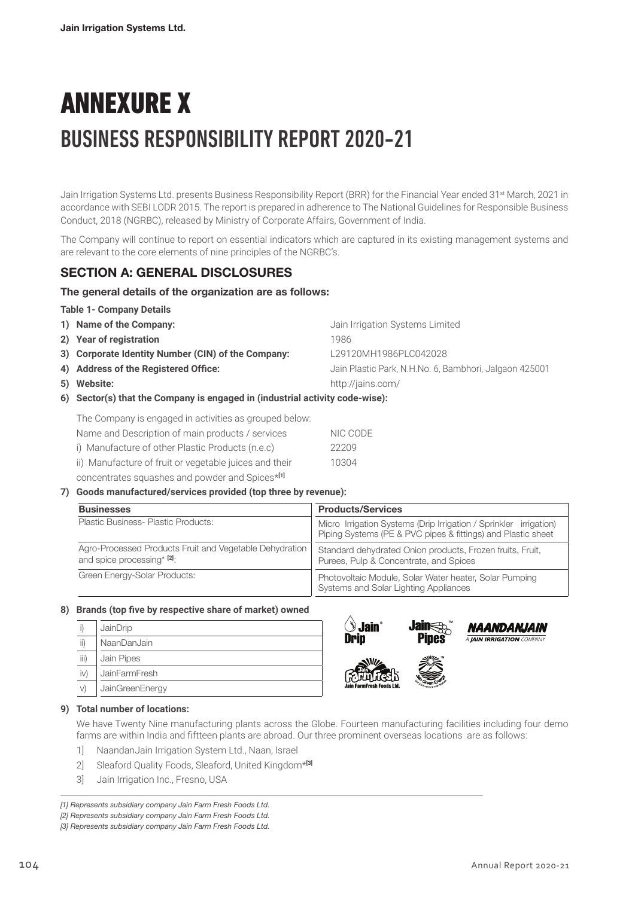# ANNEXURE X BUSINESS RESPONSIBILITY REPORT 2020-21

Jain Irrigation Systems Ltd. presents Business Responsibility Report (BRR) for the Financial Year ended 31<sup>st</sup> March, 2021 in accordance with SEBI LODR 2015. The report is prepared in adherence to The National Guidelines for Responsible Business Conduct, 2018 (NGRBC), released by Ministry of Corporate Affairs, Government of India.

The Company will continue to report on essential indicators which are captured in its existing management systems and are relevant to the core elements of nine principles of the NGRBC's.

# SECTION A: GENERAL DISCLOSURES

### The general details of the organization are as follows:

#### **Table 1- Company Details**

| 1) Name of the Company:                            | Jain Irrigation Systems Limited                        |
|----------------------------------------------------|--------------------------------------------------------|
| 2) Year of registration                            | 1986                                                   |
| 3) Corporate Identity Number (CIN) of the Company: | L29120MH1986PLC042028                                  |
| 4) Address of the Registered Office:               | Jain Plastic Park, N.H.No. 6, Bambhori, Jalgaon 425001 |
| 5) Website:                                        | http://jains.com/                                      |
|                                                    |                                                        |

**6) Sector(s) that the Company is engaged in (industrial activity code-wise):** 

The Company is engaged in activities as grouped below: Name and Description of main products / services NIC CODE

i) Manufacture of other Plastic Products (n.e.c) 22209

ii) Manufacture of fruit or vegetable juices and their **10304** 

concentrates squashes and powder and Spices\***[1]**

# **7) Goods manufactured/services provided (top three by revenue):**

| <b>Businesses</b>                                                                     | <b>Products/Services</b>                                                                                                          |  |  |
|---------------------------------------------------------------------------------------|-----------------------------------------------------------------------------------------------------------------------------------|--|--|
| Plastic Business- Plastic Products:                                                   | Micro Irrigation Systems (Drip Irrigation / Sprinkler irrigation)<br>Piping Systems (PE & PVC pipes & fittings) and Plastic sheet |  |  |
| Agro-Processed Products Fruit and Vegetable Dehydration<br>and spice processing* [2]. | Standard dehydrated Onion products, Frozen fruits, Fruit,<br>Purees, Pulp & Concentrate, and Spices                               |  |  |
| Green Energy-Solar Products:                                                          | Photovoltaic Module, Solar Water heater, Solar Pumping<br>Systems and Solar Lighting Appliances                                   |  |  |

# **8) Brands (top five by respective share of market) owned**

|      | JainDrip             |
|------|----------------------|
| ii)  | NaanDanJain          |
| iii) | Jain Pipes           |
| iv)  | <b>JainFarmFresh</b> |
|      | JainGreenEnergy      |





#### **9) Total number of locations:**

We have Twenty Nine manufacturing plants across the Globe. Fourteen manufacturing facilities including four demo farms are within India and fiftteen plants are abroad. Our three prominent overseas locations are as follows:

- 1] NaandanJain Irrigation System Ltd., Naan, Israel
- 2] Sleaford Quality Foods, Sleaford, United Kingdom\***[3]**
- 3] Jain Irrigation Inc., Fresno, USA

*[1] Represents subsidiary company Jain Farm Fresh Foods Ltd. [2] Represents subsidiary company Jain Farm Fresh Foods Ltd. [3] Represents subsidiary company Jain Farm Fresh Foods Ltd.*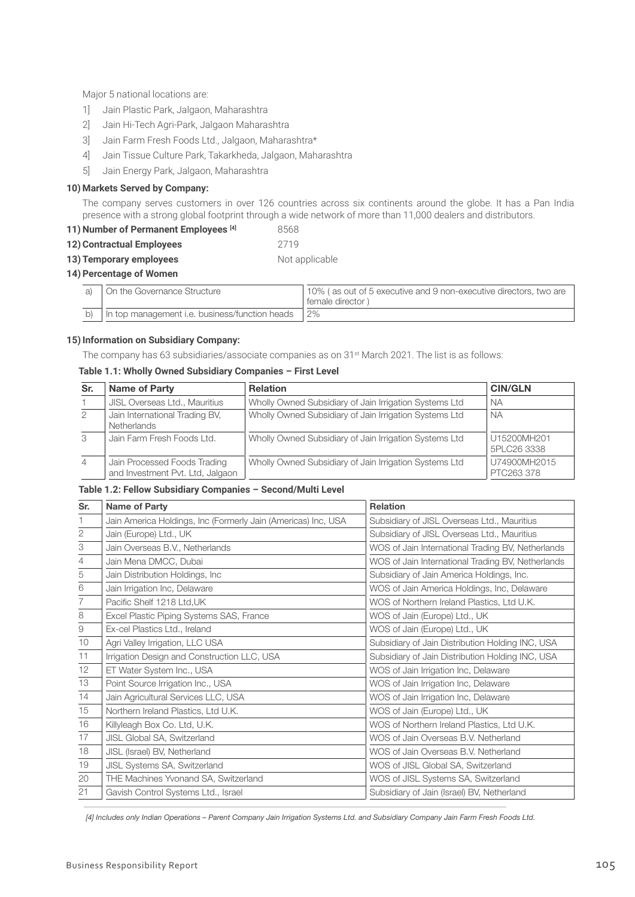Major 5 national locations are:

- 1] Jain Plastic Park, Jalgaon, Maharashtra
- 2] Jain Hi-Tech Agri-Park, Jalgaon Maharashtra
- 3] Jain Farm Fresh Foods Ltd., Jalgaon, Maharashtra\*
- 4] Jain Tissue Culture Park, Takarkheda, Jalgaon, Maharashtra
- 5] Jain Energy Park, Jalgaon, Maharashtra

#### **10) Markets Served by Company:**

The company serves customers in over 126 countries across six continents around the globe. It has a Pan India presence with a strong global footprint through a wide network of more than 11,000 dealers and distributors.

| 11) Number of Permanent Employees [4] | 8568 |
|---------------------------------------|------|
|---------------------------------------|------|

**12) Contractual Employees** 2719

#### **13) Temporary employees** Not applicable

# **14) Percentage of Women**

| On the Governance Structure                       | 10% (as out of 5 executive and 9 non-executive directors, two are<br>' female director) |
|---------------------------------------------------|-----------------------------------------------------------------------------------------|
| b) In top management i.e. business/function heads | 2%                                                                                      |

#### **15) Information on Subsidiary Company:**

The company has 63 subsidiaries/associate companies as on 31st March 2021. The list is as follows:

### **Table 1.1: Wholly Owned Subsidiary Companies – First Level**

| Sr.            | <b>Name of Party</b>                                             | <b>Relation</b>                                        | <b>CIN/GLN</b>             |
|----------------|------------------------------------------------------------------|--------------------------------------------------------|----------------------------|
|                | JISL Overseas Ltd., Mauritius                                    | Wholly Owned Subsidiary of Jain Irrigation Systems Ltd | <b>NA</b>                  |
| 2              | Jain International Trading BV,<br><b>Netherlands</b>             | Wholly Owned Subsidiary of Jain Irrigation Systems Ltd | <b>NA</b>                  |
| 3              | Jain Farm Fresh Foods Ltd.                                       | Wholly Owned Subsidiary of Jain Irrigation Systems Ltd | U15200MH201<br>5PLC26 3338 |
| $\overline{4}$ | Jain Processed Foods Trading<br>and Investment Pvt. Ltd, Jalgaon | Wholly Owned Subsidiary of Jain Irrigation Systems Ltd | U74900MH2015<br>PTC263 378 |

#### **Table 1.2: Fellow Subsidiary Companies – Second/Multi Level**

| Sr.                        | <b>Name of Party</b>                                          | <b>Relation</b>                                   |  |
|----------------------------|---------------------------------------------------------------|---------------------------------------------------|--|
|                            | Jain America Holdings, Inc (Formerly Jain (Americas) Inc, USA | Subsidiary of JISL Overseas Ltd., Mauritius       |  |
| $\mathbf{2}$               | Jain (Europe) Ltd., UK                                        | Subsidiary of JISL Overseas Ltd., Mauritius       |  |
| $\ensuremath{\mathcal{S}}$ | Jain Overseas B.V., Netherlands                               | WOS of Jain International Trading BV, Netherlands |  |
| 4                          | Jain Mena DMCC, Dubai                                         | WOS of Jain International Trading BV, Netherlands |  |
| 5                          | Jain Distribution Holdings, Inc                               | Subsidiary of Jain America Holdings, Inc.         |  |
| 6                          | Jain Irrigation Inc, Delaware                                 | WOS of Jain America Holdings, Inc, Delaware       |  |
| 7                          | Pacific Shelf 1218 Ltd, UK                                    | WOS of Northern Ireland Plastics, Ltd U.K.        |  |
| $\,8\,$                    | Excel Plastic Piping Systems SAS, France                      | WOS of Jain (Europe) Ltd., UK                     |  |
| $\hbox{9}$                 | Ex-cel Plastics Ltd., Ireland                                 | WOS of Jain (Europe) Ltd., UK                     |  |
| 10                         | Agri Valley Irrigation, LLC USA                               | Subsidiary of Jain Distribution Holding INC, USA  |  |
| 11                         | Irrigation Design and Construction LLC, USA                   | Subsidiary of Jain Distribution Holding INC, USA  |  |
| 12                         | ET Water System Inc., USA                                     | WOS of Jain Irrigation Inc, Delaware              |  |
| 13                         | Point Source Irrigation Inc., USA                             | WOS of Jain Irrigation Inc, Delaware              |  |
| 14                         | Jain Agricultural Services LLC, USA                           | WOS of Jain Irrigation Inc, Delaware              |  |
| 15                         | Northern Ireland Plastics, Ltd U.K.                           | WOS of Jain (Europe) Ltd., UK                     |  |
| 16                         | Killyleagh Box Co. Ltd, U.K.                                  | WOS of Northern Ireland Plastics, Ltd U.K.        |  |
| 17                         | JISL Global SA, Switzerland                                   | WOS of Jain Overseas B.V. Netherland              |  |
| 18                         | JISL (Israel) BV, Netherland                                  | WOS of Jain Overseas B.V. Netherland              |  |
| 19                         | <b>JISL Systems SA, Switzerland</b>                           | WOS of JISL Global SA, Switzerland                |  |
| 20                         | THE Machines Yvonand SA, Switzerland                          | WOS of JISL Systems SA, Switzerland               |  |
| 21                         | Gavish Control Systems Ltd., Israel                           | Subsidiary of Jain (Israel) BV, Netherland        |  |

 *[4] Includes only Indian Operations – Parent Company Jain Irrigation Systems Ltd. and Subsidiary Company Jain Farm Fresh Foods Ltd.*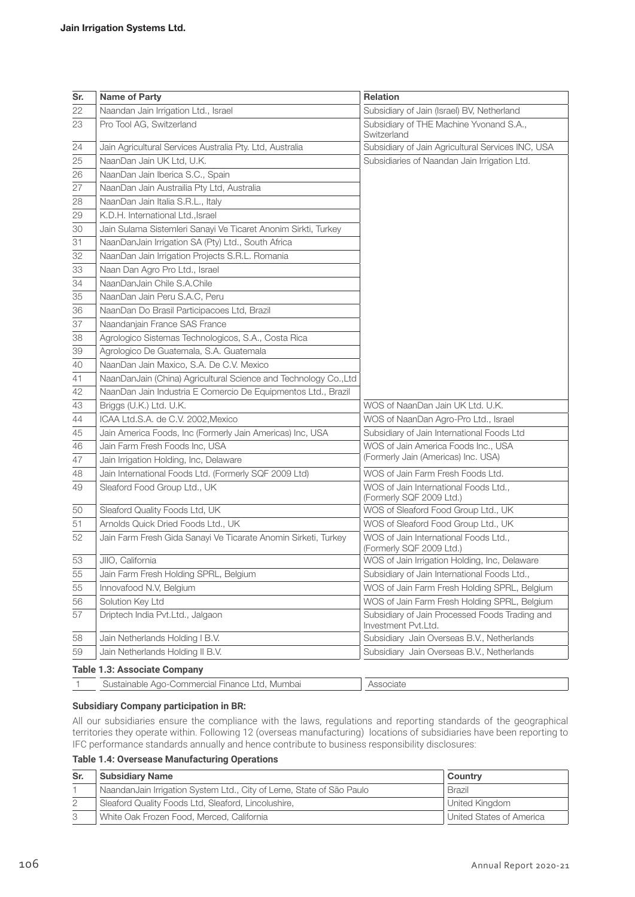| Sr. | <b>Name of Party</b>                                             | <b>Relation</b>                                                       |
|-----|------------------------------------------------------------------|-----------------------------------------------------------------------|
| 22  | Naandan Jain Irrigation Ltd., Israel                             | Subsidiary of Jain (Israel) BV, Netherland                            |
| 23  | Pro Tool AG, Switzerland                                         | Subsidiary of THE Machine Yvonand S.A.,<br>Switzerland                |
| 24  | Jain Agricultural Services Australia Pty. Ltd, Australia         | Subsidiary of Jain Agricultural Services INC, USA                     |
| 25  | NaanDan Jain UK Ltd, U.K.                                        | Subsidiaries of Naandan Jain Irrigation Ltd.                          |
| 26  | NaanDan Jain Iberica S.C., Spain                                 |                                                                       |
| 27  | NaanDan Jain Austrailia Pty Ltd, Australia                       |                                                                       |
| 28  | NaanDan Jain Italia S.R.L., Italy                                |                                                                       |
| 29  | K.D.H. International Ltd., Israel                                |                                                                       |
| 30  | Jain Sulama Sistemleri Sanayi Ve Ticaret Anonim Sirkti, Turkey   |                                                                       |
| 31  | NaanDanJain Irrigation SA (Pty) Ltd., South Africa               |                                                                       |
| 32  | NaanDan Jain Irrigation Projects S.R.L. Romania                  |                                                                       |
| 33  | Naan Dan Agro Pro Ltd., Israel                                   |                                                                       |
| 34  | NaanDanJain Chile S.A.Chile                                      |                                                                       |
| 35  | NaanDan Jain Peru S.A.C, Peru                                    |                                                                       |
| 36  | NaanDan Do Brasil Participacoes Ltd, Brazil                      |                                                                       |
| 37  | Naandanjain France SAS France                                    |                                                                       |
| 38  | Agrologico Sistemas Technologicos, S.A., Costa Rica              |                                                                       |
| 39  | Agrologico De Guatemala, S.A. Guatemala                          |                                                                       |
| 40  | NaanDan Jain Maxico, S.A. De C.V. Mexico                         |                                                                       |
| 41  | NaanDanJain (China) Agricultural Science and Technology Co., Ltd |                                                                       |
| 42  | NaanDan Jain Industria E Comercio De Equipmentos Ltd., Brazil    |                                                                       |
| 43  | Briggs (U.K.) Ltd. U.K.                                          | WOS of NaanDan Jain UK Ltd. U.K.                                      |
| 44  | ICAA Ltd.S.A. de C.V. 2002, Mexico                               | WOS of NaanDan Agro-Pro Ltd., Israel                                  |
| 45  | Jain America Foods, Inc (Formerly Jain Americas) Inc, USA        | Subsidiary of Jain International Foods Ltd                            |
| 46  | Jain Farm Fresh Foods Inc, USA                                   | WOS of Jain America Foods Inc., USA                                   |
| 47  | Jain Irrigation Holding, Inc, Delaware                           | (Formerly Jain (Americas) Inc. USA)                                   |
| 48  | Jain International Foods Ltd. (Formerly SQF 2009 Ltd)            | WOS of Jain Farm Fresh Foods Ltd.                                     |
| 49  | Sleaford Food Group Ltd., UK                                     | WOS of Jain International Foods Ltd.,<br>(Formerly SQF 2009 Ltd.)     |
| 50  | Sleaford Quality Foods Ltd, UK                                   | WOS of Sleaford Food Group Ltd., UK                                   |
| 51  | Arnolds Quick Dried Foods Ltd., UK                               | WOS of Sleaford Food Group Ltd., UK                                   |
| 52  | Jain Farm Fresh Gida Sanayi Ve Ticarate Anomin Sirketi, Turkey   | WOS of Jain International Foods Ltd.,<br>(Formerly SQF 2009 Ltd.)     |
| 53  | JIIO, California                                                 | WOS of Jain Irrigation Holding, Inc, Delaware                         |
| 55  | Jain Farm Fresh Holding SPRL, Belgium                            | Subsidiary of Jain International Foods Ltd.,                          |
| 55  | Innovafood N.V, Belgium                                          | WOS of Jain Farm Fresh Holding SPRL, Belgium                          |
| 56  | Solution Key Ltd                                                 | WOS of Jain Farm Fresh Holding SPRL, Belgium                          |
| 57  | Driptech India Pvt.Ltd., Jalgaon                                 | Subsidiary of Jain Processed Foods Trading and<br>Investment Pvt.Ltd. |
| 58  | Jain Netherlands Holding I B.V.                                  | Subsidiary Jain Overseas B.V., Netherlands                            |
| 59  | Jain Netherlands Holding II B.V.                                 | Subsidiary Jain Overseas B.V., Netherlands                            |

# 1 Sustainable Ago-Commercial Finance Ltd, Mumbai Associate

#### **Subsidiary Company participation in BR:**

All our subsidiaries ensure the compliance with the laws, regulations and reporting standards of the geographical territories they operate within. Following 12 (overseas manufacturing) locations of subsidiaries have been reporting to IFC performance standards annually and hence contribute to business responsibility disclosures:

#### **Table 1.4: Oversease Manufacturing Operations**

| Sr. | <b>Subsidiary Name</b>                                                | Country                  |
|-----|-----------------------------------------------------------------------|--------------------------|
|     | Naandan Jain Irrigation System Ltd., City of Leme, State of São Paulo | <b>Brazil</b>            |
|     | Sleaford Quality Foods Ltd, Sleaford, Lincolushire,                   | United Kingdom           |
|     | White Oak Frozen Food, Merced, California                             | United States of America |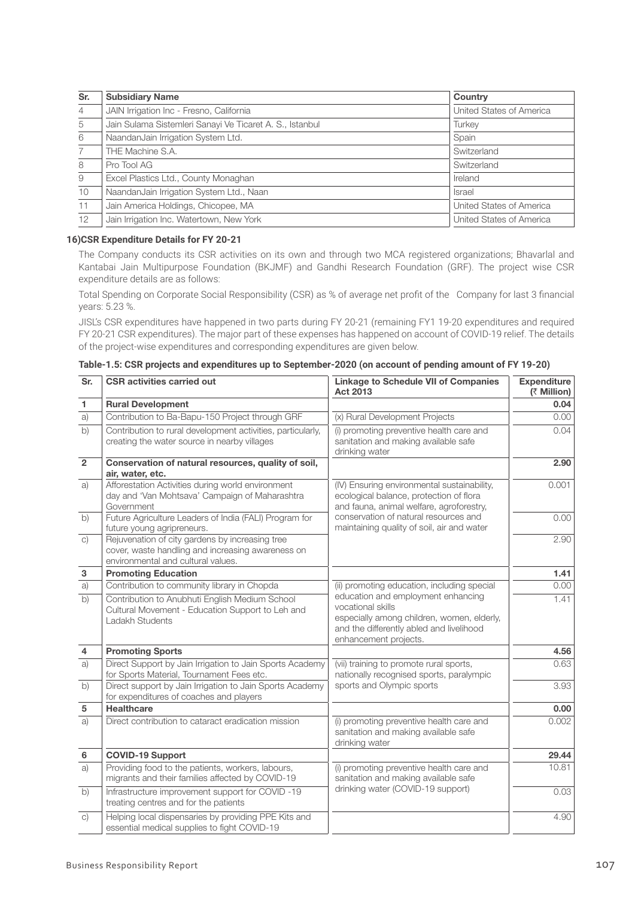| Sr.            | <b>Subsidiary Name</b>                                   | Country                  |
|----------------|----------------------------------------------------------|--------------------------|
| $\overline{4}$ | JAIN Irrigation Inc - Fresno, California                 | United States of America |
| 5              | Jain Sulama Sistemleri Sanayi Ve Ticaret A. S., Istanbul | Turkey                   |
| 6              | NaandanJain Irrigation System Ltd.                       | Spain                    |
| 7              | THE Machine S.A.                                         | Switzerland              |
| 8              | Pro Tool AG                                              | Switzerland              |
| 9              | Excel Plastics Ltd., County Monaghan                     | Ireland                  |
| 10             | NaandanJain Irrigation System Ltd., Naan                 | <b>Israel</b>            |
| 11             | Jain America Holdings, Chicopee, MA                      | United States of America |
| 12             | Jain Irrigation Inc. Watertown, New York                 | United States of America |

# **16)CSR Expenditure Details for FY 20-21**

The Company conducts its CSR activities on its own and through two MCA registered organizations; Bhavarlal and Kantabai Jain Multipurpose Foundation (BKJMF) and Gandhi Research Foundation (GRF). The project wise CSR expenditure details are as follows:

 Total Spending on Corporate Social Responsibility (CSR) as % of average net profit of the Company for last 3 financial years: 5.23 %.

JISL's CSR expenditures have happened in two parts during FY 20-21 (remaining FY1 19-20 expenditures and required FY 20-21 CSR expenditures). The major part of these expenses has happened on account of COVID-19 relief. The details of the project-wise expenditures and corresponding expenditures are given below.

| Sr.            | <b>CSR activities carried out</b>                                                                                                          | <b>Linkage to Schedule VII of Companies</b><br><b>Act 2013</b>                                                                                                             | <b>Expenditure</b><br>(₹ Million) |
|----------------|--------------------------------------------------------------------------------------------------------------------------------------------|----------------------------------------------------------------------------------------------------------------------------------------------------------------------------|-----------------------------------|
| 1              | <b>Rural Development</b>                                                                                                                   |                                                                                                                                                                            | 0.04                              |
| a)             | Contribution to Ba-Bapu-150 Project through GRF                                                                                            | (x) Rural Development Projects                                                                                                                                             | 0.00                              |
| $\overline{b}$ | Contribution to rural development activities, particularly,<br>creating the water source in nearby villages                                | (i) promoting preventive health care and<br>sanitation and making available safe<br>drinking water                                                                         | 0.04                              |
| $\overline{2}$ | Conservation of natural resources, quality of soil,<br>air, water, etc.                                                                    |                                                                                                                                                                            | 2.90                              |
| a)             | Afforestation Activities during world environment<br>day and 'Van Mohtsava' Campaign of Maharashtra<br>Government                          | (IV) Ensuring environmental sustainability,<br>ecological balance, protection of flora<br>and fauna, animal welfare, agroforestry,                                         | 0.001                             |
| b)             | Future Agriculture Leaders of India (FALI) Program for<br>future young agripreneurs.                                                       | conservation of natural resources and<br>maintaining quality of soil, air and water                                                                                        | 0.00                              |
| C)             | Rejuvenation of city gardens by increasing tree<br>cover, waste handling and increasing awareness on<br>environmental and cultural values. |                                                                                                                                                                            | 2.90                              |
| 3              | <b>Promoting Education</b>                                                                                                                 |                                                                                                                                                                            | 1.41                              |
| a)             | Contribution to community library in Chopda                                                                                                | (ii) promoting education, including special                                                                                                                                | 0.00                              |
| b)             | Contribution to Anubhuti English Medium School<br>Cultural Movement - Education Support to Leh and<br>Ladakh Students                      | education and employment enhancing<br>vocational skills<br>especially among children, women, elderly,<br>and the differently abled and livelihood<br>enhancement projects. | 1.41                              |
| 4              | <b>Promoting Sports</b>                                                                                                                    |                                                                                                                                                                            | 4.56                              |
| a)             | Direct Support by Jain Irrigation to Jain Sports Academy<br>for Sports Material, Tournament Fees etc.                                      | (vii) training to promote rural sports,<br>nationally recognised sports, paralympic                                                                                        | 0.63                              |
| b)             | Direct support by Jain Irrigation to Jain Sports Academy<br>for expenditures of coaches and players                                        | sports and Olympic sports                                                                                                                                                  | 3.93                              |
| 5              | <b>Healthcare</b>                                                                                                                          |                                                                                                                                                                            | 0.00                              |
| a)             | Direct contribution to cataract eradication mission                                                                                        | (i) promoting preventive health care and<br>sanitation and making available safe<br>drinking water                                                                         | 0.002                             |
| $\bf 6$        | <b>COVID-19 Support</b>                                                                                                                    |                                                                                                                                                                            | 29.44                             |
| a)             | Providing food to the patients, workers, labours,<br>migrants and their families affected by COVID-19                                      | (i) promoting preventive health care and<br>sanitation and making available safe                                                                                           | 10.81                             |
| b)             | Infrastructure improvement support for COVID-19<br>treating centres and for the patients                                                   | drinking water (COVID-19 support)                                                                                                                                          | 0.03                              |
| C)             | Helping local dispensaries by providing PPE Kits and<br>essential medical supplies to fight COVID-19                                       |                                                                                                                                                                            | 4.90                              |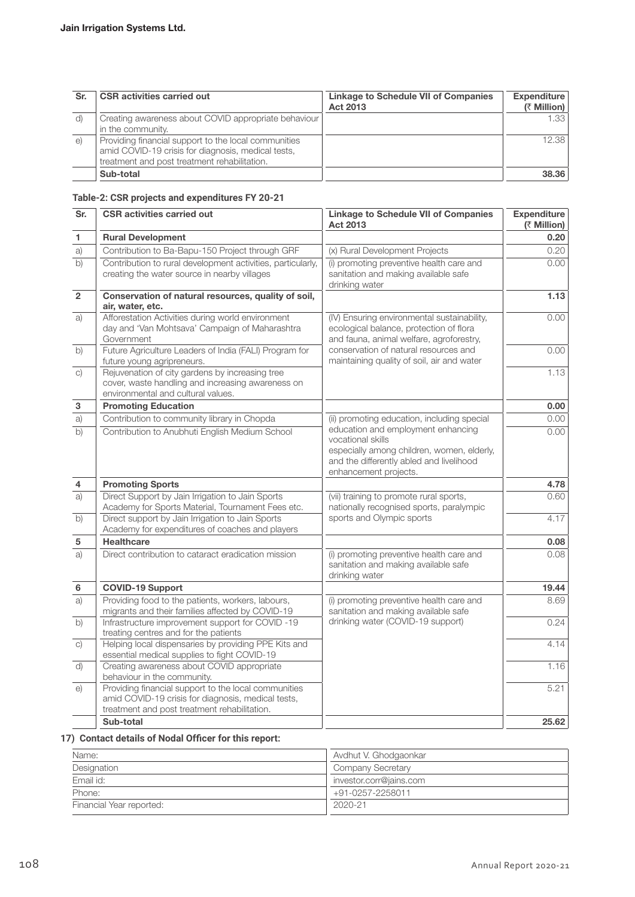| Sr.      | <b>CSR activities carried out</b>                    | <b>Linkage to Schedule VII of Companies</b><br>Act 2013 | Expenditure<br>(₹ Million) |
|----------|------------------------------------------------------|---------------------------------------------------------|----------------------------|
| d)       | Creating awareness about COVID appropriate behaviour |                                                         | 1.33                       |
|          | in the community.                                    |                                                         |                            |
| $\Theta$ | Providing financial support to the local communities |                                                         | 12.38                      |
|          | amid COVID-19 crisis for diagnosis, medical tests,   |                                                         |                            |
|          | treatment and post treatment rehabilitation.         |                                                         |                            |
|          | Sub-total                                            |                                                         | 38,36                      |

# **Table-2: CSR projects and expenditures FY 20-21**

| Sr.                       | <b>CSR activities carried out</b>                                                                                                                          | <b>Linkage to Schedule VII of Companies</b><br><b>Act 2013</b>                                                                                                             | <b>Expenditure</b><br>(₹ Million) |
|---------------------------|------------------------------------------------------------------------------------------------------------------------------------------------------------|----------------------------------------------------------------------------------------------------------------------------------------------------------------------------|-----------------------------------|
| 1                         | <b>Rural Development</b>                                                                                                                                   |                                                                                                                                                                            | 0.20                              |
| a)                        | Contribution to Ba-Bapu-150 Project through GRF                                                                                                            | (x) Rural Development Projects                                                                                                                                             | 0.20                              |
| $\overline{b)}$           | Contribution to rural development activities, particularly,<br>creating the water source in nearby villages                                                | (i) promoting preventive health care and<br>sanitation and making available safe<br>drinking water                                                                         | 0.00                              |
| $\overline{2}$            | Conservation of natural resources, quality of soil,<br>air, water, etc.                                                                                    |                                                                                                                                                                            | 1.13                              |
| a)                        | Afforestation Activities during world environment<br>day and 'Van Mohtsava' Campaign of Maharashtra<br>Government                                          | (IV) Ensuring environmental sustainability,<br>ecological balance, protection of flora<br>and fauna, animal welfare, agroforestry,                                         | 0.00                              |
| $\overline{b}$            | Future Agriculture Leaders of India (FALI) Program for<br>future young agripreneurs.                                                                       | conservation of natural resources and<br>maintaining quality of soil, air and water                                                                                        | 0.00                              |
| C)                        | Rejuvenation of city gardens by increasing tree<br>cover, waste handling and increasing awareness on<br>environmental and cultural values.                 |                                                                                                                                                                            | 1.13                              |
| $\ensuremath{\mathsf{3}}$ | <b>Promoting Education</b>                                                                                                                                 |                                                                                                                                                                            | 0.00                              |
| a)                        | Contribution to community library in Chopda                                                                                                                | (ii) promoting education, including special                                                                                                                                | 0.00                              |
| $\overline{b}$            | Contribution to Anubhuti English Medium School                                                                                                             | education and employment enhancing<br>vocational skills<br>especially among children, women, elderly,<br>and the differently abled and livelihood<br>enhancement projects. | 0.00                              |
| 4                         | <b>Promoting Sports</b>                                                                                                                                    |                                                                                                                                                                            | 4.78                              |
| a)                        | Direct Support by Jain Irrigation to Jain Sports<br>Academy for Sports Material, Tournament Fees etc.                                                      | (vii) training to promote rural sports,<br>nationally recognised sports, paralympic                                                                                        | 0.60                              |
| b)                        | Direct support by Jain Irrigation to Jain Sports<br>Academy for expenditures of coaches and players                                                        | sports and Olympic sports                                                                                                                                                  | 4.17                              |
| $\sqrt{5}$                | <b>Healthcare</b>                                                                                                                                          |                                                                                                                                                                            | 0.08                              |
| a)                        | Direct contribution to cataract eradication mission                                                                                                        | (i) promoting preventive health care and<br>sanitation and making available safe<br>drinking water                                                                         | 0.08                              |
| $\bf 6$                   | <b>COVID-19 Support</b>                                                                                                                                    |                                                                                                                                                                            | 19.44                             |
| a)                        | Providing food to the patients, workers, labours,<br>migrants and their families affected by COVID-19                                                      | (i) promoting preventive health care and<br>sanitation and making available safe                                                                                           | 8.69                              |
| $\overline{b}$            | Infrastructure improvement support for COVID -19<br>treating centres and for the patients                                                                  | drinking water (COVID-19 support)                                                                                                                                          | 0.24                              |
| C)                        | Helping local dispensaries by providing PPE Kits and<br>essential medical supplies to fight COVID-19                                                       |                                                                                                                                                                            | 4.14                              |
| d)                        | Creating awareness about COVID appropriate<br>behaviour in the community.                                                                                  |                                                                                                                                                                            | 1.16                              |
| $\Theta$                  | Providing financial support to the local communities<br>amid COVID-19 crisis for diagnosis, medical tests,<br>treatment and post treatment rehabilitation. |                                                                                                                                                                            | 5.21                              |
|                           | Sub-total                                                                                                                                                  |                                                                                                                                                                            | 25.62                             |

**17) Contact details of Nodal Officer for this report:**

| Name:                    | Avdhut V. Ghodgaonkar    |
|--------------------------|--------------------------|
| Designation              | <b>Company Secretary</b> |
| Email id:                | investor.corr@jains.com  |
| Phone:                   | +91-0257-2258011         |
| Financial Year reported: | 2020-21                  |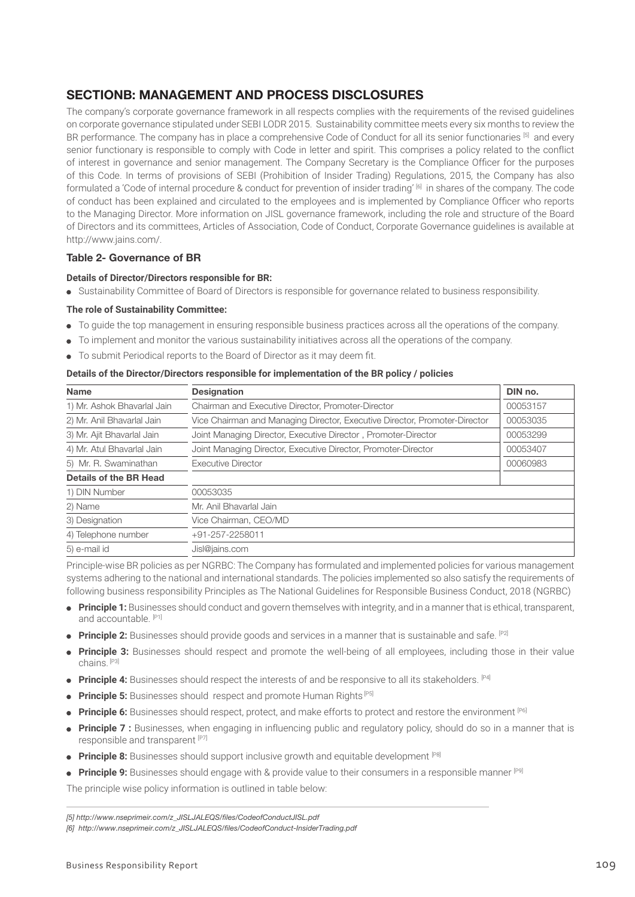# SECTIONB: MANAGEMENT AND PROCESS DISCLOSURES

The company's corporate governance framework in all respects complies with the requirements of the revised guidelines on corporate governance stipulated under SEBI LODR 2015. Sustainability committee meets every six months to review the BR performance. The company has in place a comprehensive Code of Conduct for all its senior functionaries [5] and every senior functionary is responsible to comply with Code in letter and spirit. This comprises a policy related to the conflict of interest in governance and senior management. The Company Secretary is the Compliance Officer for the purposes of this Code. In terms of provisions of SEBI (Prohibition of Insider Trading) Regulations, 2015, the Company has also formulated a 'Code of internal procedure & conduct for prevention of insider trading' [6] in shares of the company. The code of conduct has been explained and circulated to the employees and is implemented by Compliance Officer who reports to the Managing Director. More information on JISL governance framework, including the role and structure of the Board of Directors and its committees, Articles of Association, Code of Conduct, Corporate Governance guidelines is available at http://www.jains.com/.

# Table 2- Governance of BR

# **Details of Director/Directors responsible for BR:**

Sustainability Committee of Board of Directors is responsible for governance related to business responsibility.

### **The role of Sustainability Committee:**

- To guide the top management in ensuring responsible business practices across all the operations of the company.
- To implement and monitor the various sustainability initiatives across all the operations of the company.
- To submit Periodical reports to the Board of Director as it may deem fit.

### **Details of the Director/Directors responsible for implementation of the BR policy / policies**

| <b>Name</b>                 | <b>Designation</b>                                                         | DIN no.  |
|-----------------------------|----------------------------------------------------------------------------|----------|
| 1) Mr. Ashok Bhavarlal Jain | Chairman and Executive Director, Promoter-Director                         | 00053157 |
| 2) Mr. Anil Bhavarlal Jain  | Vice Chairman and Managing Director, Executive Director, Promoter-Director | 00053035 |
| 3) Mr. Ajit Bhavarlal Jain  | Joint Managing Director, Executive Director, Promoter-Director             | 00053299 |
| 4) Mr. Atul Bhavarlal Jain  | Joint Managing Director, Executive Director, Promoter-Director             | 00053407 |
| 5) Mr. R. Swaminathan       | <b>Executive Director</b>                                                  | 00060983 |
| Details of the BR Head      |                                                                            |          |
| 1) DIN Number               | 00053035                                                                   |          |
| 2) Name                     | Mr. Anil Bhavarlal Jain                                                    |          |
| 3) Designation              | Vice Chairman, CEO/MD                                                      |          |
| 4) Telephone number         | +91-257-2258011                                                            |          |
| 5) e-mail id                | Jisl@jains.com                                                             |          |

Principle-wise BR policies as per NGRBC: The Company has formulated and implemented policies for various management systems adhering to the national and international standards. The policies implemented so also satisfy the requirements of following business responsibility Principles as The National Guidelines for Responsible Business Conduct, 2018 (NGRBC)

- **Principle 1:** Businesses should conduct and govern themselves with integrity, and in a manner that is ethical, transparent, and accountable. [P1]
- **Principle 2:** Businesses should provide goods and services in a manner that is sustainable and safe. <sup>[P2]</sup>
- **Principle 3:** Businesses should respect and promote the well-being of all employees, including those in their value chains. [P3]
- **Principle 4:** Businesses should respect the interests of and be responsive to all its stakeholders. [P4]
- **Principle 5:** Businesses should respect and promote Human Rights<sup>[P5]</sup>
- **Principle 6:** Businesses should respect, protect, and make efforts to protect and restore the environment [P6]
- **Principle 7 :** Businesses, when engaging in influencing public and regulatory policy, should do so in a manner that is responsible and transparent [P7]
- **Principle 8:** Businesses should support inclusive growth and equitable development [P8]
- **Principle 9:** Businesses should engage with & provide value to their consumers in a responsible manner [P9]

The principle wise policy information is outlined in table below:

*[5] http://www.nseprimeir.com/z\_JISLJALEQS/files/CodeofConductJISL.pdf*

*<sup>[6]</sup> http://www.nseprimeir.com/z\_JISLJALEQS/files/CodeofConduct-InsiderTrading.pdf*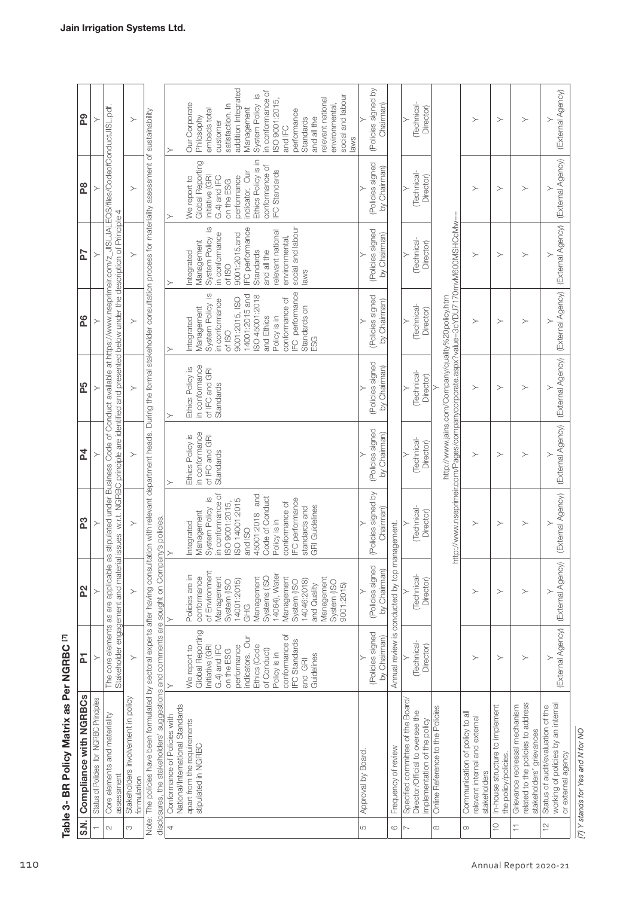| The core elements as are applicable as stipulated under Business Code of Conduct available at https://www.nseprimeir.com/z_JISLJALEQS/files/CodeofConductJISL.pdf.<br>Note: The policies have been formulated by sectoral experts after having consultation with relevant department heads. During the formal stakeholder consultation process for materiality assessment of sustainability<br>issues w.r.t. NGRBC principle are identified and presented below under the description of Principle 4<br>http://www.nseprimeir.com/Pages/companycorporate.aspx?value=3cYDU7170mvM600MSHCcMw==<br>http://www.jains.com/Company/quality%20policy.htm<br>Management<br>and Ethics<br>Policy is in<br>Integrated<br>of ISO<br>ESG<br>≻<br>(Policies signed<br>in conformance<br>by Chairman)<br>of IFC and GRI<br>Ethics Policy is<br>Technical-<br>Director)<br>Standards<br>P5<br>$\succ$<br>$\succ$<br>$\succ$<br>$\succ$<br>(Policies signed<br>in conformance<br>of IFC and GRI<br>Standards<br>by Chairman)<br>Ethics Policy is<br>Technical-<br>Director)<br><b>P4</b><br>$\succ$<br>$\succ$<br>$\succ$<br>$\succ$<br>≻<br>(Policies signed by<br>in conformance of<br>and<br>Code of Conduct<br>$\underline{\omega}$<br><b>IFC</b> performance<br>ISO 14001:2015<br>ISO 9001:2015,<br>conformance of<br><b>GRI Guidelines</b><br>standards and<br>(Technical-<br>System Policy<br>Chairman)<br>45001:2018<br>Management<br>Director)<br>disclosures, the stakeholders' suggestions and comments are sought on Company's policies.<br>Policy is in<br>P3<br>Integrated<br>$\succ$<br>Annual review is conducted by top management.<br>$\succ$<br>$\succ$<br>≻<br>$\succ$<br>and ISO<br>$\geq$<br>Stakeholder engagement and material<br>(Policies signed<br>by Chairman)<br>of Environment<br>(Technical-<br>14064), Water<br>Policies are in<br>conformance<br>Systems (ISO<br>Management<br>Management<br>Management<br>Management<br>Director)<br>14001:2015)<br>14046:2018)<br>System (ISO<br>System (ISO<br>System (ISC<br>9001:2015<br>and Quality<br>P <sub>2</sub><br>$\succ$<br>$\succ$<br>$\succ$<br>≻<br>$\succ$<br>$\succ$<br>GHG<br>Global Reporting<br>(Policies signed<br>conformance of<br>Table 3- BR Policy Matrix as Per NGRBC [7]<br>indicators. Our<br>by Chairman)<br><b>IFC</b> Standards<br>(Technical-<br>Initiative (GRI<br>Ethics (Code<br>performance<br>Director)<br>We report to<br>G.4) and IFC<br>of Conduct)<br>on the ESG<br>Policy is in<br>Guidelines<br>집<br>$\succ$<br>$\succ$<br>$\succ$<br>≻<br>$\succ$<br>and GRI<br>Compliance with NGRBCs<br>Stakeholders involvement in policy<br>Status of Policies for NGRBC Principles<br>Specified committee of the Board/<br>related to the policies to address<br>National/International Standards<br>In-house structure to implement<br>Grievance redressal mechanism<br>Status of audit/evaluation of the<br>Online Reference to the Policies<br>Director/Official to oversee the<br>Communication of policy to all<br>Core elements and materiality<br>Conformance of Policies with<br>relevant internal and external<br>implementation of the policy<br>apart from the requirements<br>stakeholders' grievances<br>stipulated in NGRBC<br>Frequency of review<br>Approval by Board.<br>the policy/policies.<br>stakeholders<br>assessment<br>formulation | <b>P7</b><br>P6 | $\succ$ | $\succ$<br>$\succ$ |  | social and labour<br><b>IFC</b> performance<br>relevant national<br>in conformance<br>9001:2015, and<br>environmental,<br>System Policy<br>Management<br>and all the<br>Standards<br>Integrated<br>of ISO<br>laws<br>IFC performance<br>$\overline{\omega}$<br>ISO 45001:2018<br>14001:2015 and<br>9001:2015, ISO<br>conformance of<br>in conformance<br>System Policy<br>Standards on | (Policies signed<br>(Policies signed | by Chairman)<br>by Chairman) | (Technical-<br>Director)<br>Technical-<br>Director) | $\succ$<br>$\succ$ | $\succ$<br>$\succ$ | $\succ$<br>$\succ$ | (External Agency)<br>(External Agency) |
|--------------------------------------------------------------------------------------------------------------------------------------------------------------------------------------------------------------------------------------------------------------------------------------------------------------------------------------------------------------------------------------------------------------------------------------------------------------------------------------------------------------------------------------------------------------------------------------------------------------------------------------------------------------------------------------------------------------------------------------------------------------------------------------------------------------------------------------------------------------------------------------------------------------------------------------------------------------------------------------------------------------------------------------------------------------------------------------------------------------------------------------------------------------------------------------------------------------------------------------------------------------------------------------------------------------------------------------------------------------------------------------------------------------------------------------------------------------------------------------------------------------------------------------------------------------------------------------------------------------------------------------------------------------------------------------------------------------------------------------------------------------------------------------------------------------------------------------------------------------------------------------------------------------------------------------------------------------------------------------------------------------------------------------------------------------------------------------------------------------------------------------------------------------------------------------------------------------------------------------------------------------------------------------------------------------------------------------------------------------------------------------------------------------------------------------------------------------------------------------------------------------------------------------------------------------------------------------------------------------------------------------------------------------------------------------------------------------------------------------------------------------------------------------------------------------------------------------------------------------------------------------------------------------------------------------------------------------------------------------------------------------------------------------------------------------------------------------------------------------------------------------------------------------------------------------------------------------------------------------------------------------------------------------------------------------------------------------------------|-----------------|---------|--------------------|--|----------------------------------------------------------------------------------------------------------------------------------------------------------------------------------------------------------------------------------------------------------------------------------------------------------------------------------------------------------------------------------------|--------------------------------------|------------------------------|-----------------------------------------------------|--------------------|--------------------|--------------------|----------------------------------------|
|                                                                                                                                                                                                                                                                                                                                                                                                                                                                                                                                                                                                                                                                                                                                                                                                                                                                                                                                                                                                                                                                                                                                                                                                                                                                                                                                                                                                                                                                                                                                                                                                                                                                                                                                                                                                                                                                                                                                                                                                                                                                                                                                                                                                                                                                                                                                                                                                                                                                                                                                                                                                                                                                                                                                                                                                                                                                                                                                                                                                                                                                                                                                                                                                                                                                                                                                                  |                 |         |                    |  |                                                                                                                                                                                                                                                                                                                                                                                        |                                      |                              |                                                     |                    |                    |                    |                                        |
|                                                                                                                                                                                                                                                                                                                                                                                                                                                                                                                                                                                                                                                                                                                                                                                                                                                                                                                                                                                                                                                                                                                                                                                                                                                                                                                                                                                                                                                                                                                                                                                                                                                                                                                                                                                                                                                                                                                                                                                                                                                                                                                                                                                                                                                                                                                                                                                                                                                                                                                                                                                                                                                                                                                                                                                                                                                                                                                                                                                                                                                                                                                                                                                                                                                                                                                                                  |                 |         |                    |  |                                                                                                                                                                                                                                                                                                                                                                                        |                                      |                              |                                                     |                    |                    |                    |                                        |
|                                                                                                                                                                                                                                                                                                                                                                                                                                                                                                                                                                                                                                                                                                                                                                                                                                                                                                                                                                                                                                                                                                                                                                                                                                                                                                                                                                                                                                                                                                                                                                                                                                                                                                                                                                                                                                                                                                                                                                                                                                                                                                                                                                                                                                                                                                                                                                                                                                                                                                                                                                                                                                                                                                                                                                                                                                                                                                                                                                                                                                                                                                                                                                                                                                                                                                                                                  |                 |         |                    |  |                                                                                                                                                                                                                                                                                                                                                                                        |                                      |                              |                                                     |                    |                    |                    |                                        |
|                                                                                                                                                                                                                                                                                                                                                                                                                                                                                                                                                                                                                                                                                                                                                                                                                                                                                                                                                                                                                                                                                                                                                                                                                                                                                                                                                                                                                                                                                                                                                                                                                                                                                                                                                                                                                                                                                                                                                                                                                                                                                                                                                                                                                                                                                                                                                                                                                                                                                                                                                                                                                                                                                                                                                                                                                                                                                                                                                                                                                                                                                                                                                                                                                                                                                                                                                  |                 |         |                    |  |                                                                                                                                                                                                                                                                                                                                                                                        |                                      |                              |                                                     |                    |                    |                    |                                        |
|                                                                                                                                                                                                                                                                                                                                                                                                                                                                                                                                                                                                                                                                                                                                                                                                                                                                                                                                                                                                                                                                                                                                                                                                                                                                                                                                                                                                                                                                                                                                                                                                                                                                                                                                                                                                                                                                                                                                                                                                                                                                                                                                                                                                                                                                                                                                                                                                                                                                                                                                                                                                                                                                                                                                                                                                                                                                                                                                                                                                                                                                                                                                                                                                                                                                                                                                                  |                 |         |                    |  |                                                                                                                                                                                                                                                                                                                                                                                        |                                      |                              |                                                     |                    |                    |                    |                                        |
|                                                                                                                                                                                                                                                                                                                                                                                                                                                                                                                                                                                                                                                                                                                                                                                                                                                                                                                                                                                                                                                                                                                                                                                                                                                                                                                                                                                                                                                                                                                                                                                                                                                                                                                                                                                                                                                                                                                                                                                                                                                                                                                                                                                                                                                                                                                                                                                                                                                                                                                                                                                                                                                                                                                                                                                                                                                                                                                                                                                                                                                                                                                                                                                                                                                                                                                                                  |                 |         |                    |  |                                                                                                                                                                                                                                                                                                                                                                                        |                                      |                              |                                                     |                    |                    |                    | working of policies by an internal     |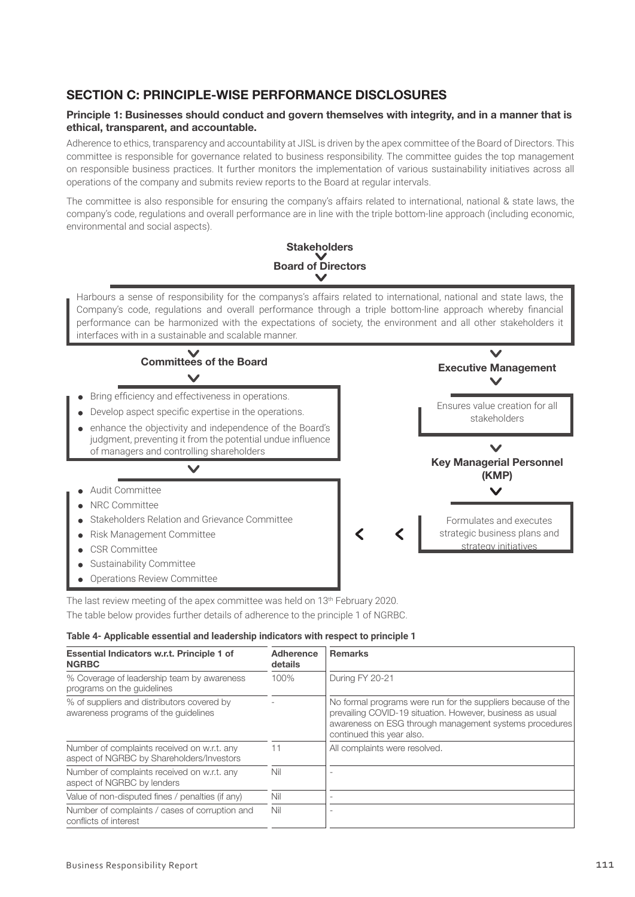# SECTION C: PRINCIPLE-WISE PERFORMANCE DISCLOSURES

# Principle 1: Businesses should conduct and govern themselves with integrity, and in a manner that is ethical, transparent, and accountable.

Adherence to ethics, transparency and accountability at JISL is driven by the apex committee of the Board of Directors. This committee is responsible for governance related to business responsibility. The committee guides the top management on responsible business practices. It further monitors the implementation of various sustainability initiatives across all operations of the company and submits review reports to the Board at regular intervals.

The committee is also responsible for ensuring the company's affairs related to international, national & state laws, the company's code, regulations and overall performance are in line with the triple bottom-line approach (including economic, environmental and social aspects).



The last review meeting of the apex committee was held on 13<sup>th</sup> February 2020.

The table below provides further details of adherence to the principle 1 of NGRBC.

#### **Table 4- Applicable essential and leadership indicators with respect to principle 1**

| Essential Indicators w.r.t. Principle 1 of<br><b>NGRBC</b>                               | Adherence<br>details | <b>Remarks</b>                                                                                                                                                                                                   |  |  |  |
|------------------------------------------------------------------------------------------|----------------------|------------------------------------------------------------------------------------------------------------------------------------------------------------------------------------------------------------------|--|--|--|
| % Coverage of leadership team by awareness<br>programs on the guidelines                 | 100%                 | During FY 20-21                                                                                                                                                                                                  |  |  |  |
| % of suppliers and distributors covered by<br>awareness programs of the quidelines       |                      | No formal programs were run for the suppliers because of the<br>prevailing COVID-19 situation. However, business as usual<br>awareness on ESG through management systems procedures<br>continued this year also. |  |  |  |
| Number of complaints received on w.r.t. any<br>aspect of NGRBC by Shareholders/Investors | 11                   | All complaints were resolved.                                                                                                                                                                                    |  |  |  |
| Number of complaints received on w.r.t. any<br>aspect of NGRBC by lenders                | Nil                  |                                                                                                                                                                                                                  |  |  |  |
| Value of non-disputed fines / penalties (if any)                                         | Nil                  |                                                                                                                                                                                                                  |  |  |  |
| Number of complaints / cases of corruption and<br>conflicts of interest                  | Nil                  |                                                                                                                                                                                                                  |  |  |  |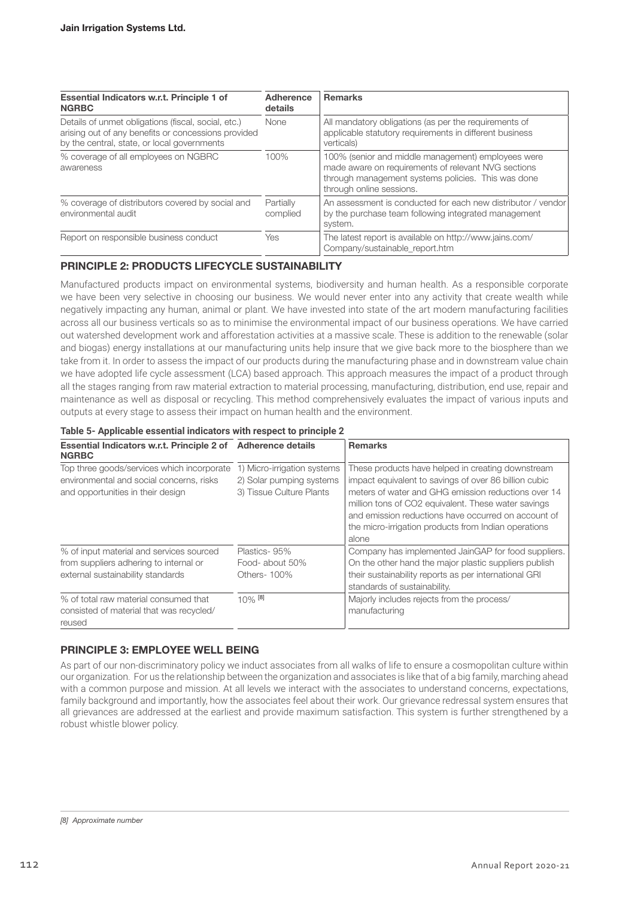| Essential Indicators w.r.t. Principle 1 of<br><b>NGRBC</b>                                                                                                | Adherence<br>details  | <b>Remarks</b>                                                                                                                                                                              |
|-----------------------------------------------------------------------------------------------------------------------------------------------------------|-----------------------|---------------------------------------------------------------------------------------------------------------------------------------------------------------------------------------------|
| Details of unmet obligations (fiscal, social, etc.)<br>arising out of any benefits or concessions provided<br>by the central, state, or local governments | None                  | All mandatory obligations (as per the requirements of<br>applicable statutory requirements in different business<br>verticals)                                                              |
| % coverage of all employees on NGBRC<br>awareness                                                                                                         | 100%                  | 100% (senior and middle management) employees were<br>made aware on requirements of relevant NVG sections<br>through management systems policies. This was done<br>through online sessions. |
| % coverage of distributors covered by social and<br>environmental audit                                                                                   | Partially<br>complied | An assessment is conducted for each new distributor / vendor<br>by the purchase team following integrated management<br>system.                                                             |
| Report on responsible business conduct                                                                                                                    | Yes                   | The latest report is available on http://www.jains.com/<br>Company/sustainable_report.htm                                                                                                   |

# PRINCIPLE 2: PRODUCTS LIFECYCLE SUSTAINABILITY

Manufactured products impact on environmental systems, biodiversity and human health. As a responsible corporate we have been very selective in choosing our business. We would never enter into any activity that create wealth while negatively impacting any human, animal or plant. We have invested into state of the art modern manufacturing facilities across all our business verticals so as to minimise the environmental impact of our business operations. We have carried out watershed development work and afforestation activities at a massive scale. These is addition to the renewable (solar and biogas) energy installations at our manufacturing units help insure that we give back more to the biosphere than we take from it. In order to assess the impact of our products during the manufacturing phase and in downstream value chain we have adopted life cycle assessment (LCA) based approach. This approach measures the impact of a product through all the stages ranging from raw material extraction to material processing, manufacturing, distribution, end use, repair and maintenance as well as disposal or recycling. This method comprehensively evaluates the impact of various inputs and outputs at every stage to assess their impact on human health and the environment.

#### **Table 5- Applicable essential indicators with respect to principle 2**

| Essential Indicators w.r.t. Principle 2 of Adherence details<br><b>NGRBC</b>                                                |                                                                                     | <b>Remarks</b>                                                                                                                                                                                                                                                                                                                                   |
|-----------------------------------------------------------------------------------------------------------------------------|-------------------------------------------------------------------------------------|--------------------------------------------------------------------------------------------------------------------------------------------------------------------------------------------------------------------------------------------------------------------------------------------------------------------------------------------------|
| Top three goods/services which incorporate<br>environmental and social concerns, risks<br>and opportunities in their design | 1) Micro-irrigation systems<br>2) Solar pumping systems<br>3) Tissue Culture Plants | These products have helped in creating downstream<br>impact equivalent to savings of over 86 billion cubic<br>meters of water and GHG emission reductions over 14<br>million tons of CO2 equivalent. These water savings<br>and emission reductions have occurred on account of<br>the micro-irrigation products from Indian operations<br>alone |
| % of input material and services sourced                                                                                    | Plastics-95%                                                                        | Company has implemented JainGAP for food suppliers.                                                                                                                                                                                                                                                                                              |
| from suppliers adhering to internal or                                                                                      | Food- about 50%                                                                     | On the other hand the major plastic suppliers publish                                                                                                                                                                                                                                                                                            |
| external sustainability standards                                                                                           | Others-100%                                                                         | their sustainability reports as per international GRI                                                                                                                                                                                                                                                                                            |
|                                                                                                                             |                                                                                     | standards of sustainability.                                                                                                                                                                                                                                                                                                                     |
| % of total raw material consumed that                                                                                       | $10%$ [8]                                                                           | Majorly includes rejects from the process/                                                                                                                                                                                                                                                                                                       |
| consisted of material that was recycled/                                                                                    |                                                                                     | manufacturing                                                                                                                                                                                                                                                                                                                                    |
| reused                                                                                                                      |                                                                                     |                                                                                                                                                                                                                                                                                                                                                  |

# PRINCIPLE 3: EMPLOYEE WELL BEING

As part of our non-discriminatory policy we induct associates from all walks of life to ensure a cosmopolitan culture within our organization. For us the relationship between the organization and associates is like that of a big family, marching ahead with a common purpose and mission. At all levels we interact with the associates to understand concerns, expectations, family background and importantly, how the associates feel about their work. Our grievance redressal system ensures that all grievances are addressed at the earliest and provide maximum satisfaction. This system is further strengthened by a robust whistle blower policy.

*<sup>[8]</sup> Approximate number*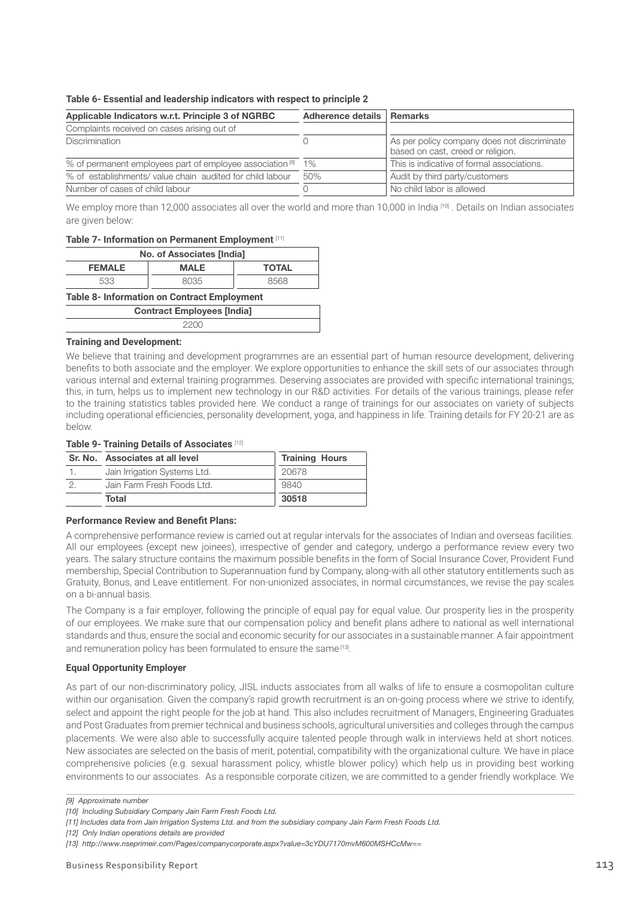#### **Table 6- Essential and leadership indicators with respect to principle 2**

| Applicable Indicators w.r.t. Principle 3 of NGRBC                    | Adherence details   Remarks |                                                                                  |
|----------------------------------------------------------------------|-----------------------------|----------------------------------------------------------------------------------|
| Complaints received on cases arising out of                          |                             |                                                                                  |
| <b>Discrimination</b>                                                |                             | As per policy company does not discriminate<br>based on cast, creed or religion. |
| % of permanent employees part of employee association <sup>[9]</sup> | $1\%$                       | This is indicative of formal associations.                                       |
| % of establishments/value chain audited for child labour             | 50%                         | Audit by third party/customers                                                   |
| Number of cases of child labour                                      |                             | No child labor is allowed                                                        |

We employ more than 12,000 associates all over the world and more than 10,000 in India <sup>[10]</sup> . Details on Indian associates are given below:

#### **Table 7- Information on Permanent Employment** [11]

| No. of Associates [India]                          |      |      |  |  |  |  |  |
|----------------------------------------------------|------|------|--|--|--|--|--|
| <b>FEMALE</b><br><b>MALE</b><br>TOTAL              |      |      |  |  |  |  |  |
| 533                                                | 8035 | 8568 |  |  |  |  |  |
| <b>Table 8- Information on Contract Employment</b> |      |      |  |  |  |  |  |
| <b>Contract Employees [India]</b>                  |      |      |  |  |  |  |  |
|                                                    |      |      |  |  |  |  |  |

#### **Training and Development:**

We believe that training and development programmes are an essential part of human resource development, delivering benefits to both associate and the employer. We explore opportunities to enhance the skill sets of our associates through various internal and external training programmes. Deserving associates are provided with specific international trainings; this, in turn, helps us to implement new technology in our R&D activities. For details of the various trainings, please refer to the training statistics tables provided here. We conduct a range of trainings for our associates on variety of subjects including operational efficiencies, personality development, yoga, and happiness in life. Training details for FY 20-21 are as below.

#### **Table 9- Training Details of Associates** [12]

| Sr. No. Associates at all level | <b>Training Hours</b> |
|---------------------------------|-----------------------|
| Jain Irrigation Systems Ltd.    | 20678                 |
| Jain Farm Fresh Foods Ltd.      | 9840                  |
| Total                           | 30518                 |

#### **Performance Review and Benefit Plans:**

A comprehensive performance review is carried out at regular intervals for the associates of Indian and overseas facilities. All our employees (except new joinees), irrespective of gender and category, undergo a performance review every two years. The salary structure contains the maximum possible benefits in the form of Social Insurance Cover, Provident Fund membership, Special Contribution to Superannuation fund by Company, along-with all other statutory entitlements such as Gratuity, Bonus, and Leave entitlement. For non-unionized associates, in normal circumstances, we revise the pay scales on a bi-annual basis.

The Company is a fair employer, following the principle of equal pay for equal value. Our prosperity lies in the prosperity of our employees. We make sure that our compensation policy and benefit plans adhere to national as well international standards and thus, ensure the social and economic security for our associates in a sustainable manner. A fair appointment and remuneration policy has been formulated to ensure the same [13].

#### **Equal Opportunity Employer**

As part of our non-discriminatory policy, JISL inducts associates from all walks of life to ensure a cosmopolitan culture within our organisation. Given the company's rapid growth recruitment is an on-going process where we strive to identify, select and appoint the right people for the job at hand. This also includes recruitment of Managers, Engineering Graduates and Post Graduates from premier technical and business schools, agricultural universities and colleges through the campus placements. We were also able to successfully acquire talented people through walk in interviews held at short notices. New associates are selected on the basis of merit, potential, compatibility with the organizational culture. We have in place comprehensive policies (e.g. sexual harassment policy, whistle blower policy) which help us in providing best working environments to our associates. As a responsible corporate citizen, we are committed to a gender friendly workplace. We

*<sup>[9]</sup> Approximate number*

*<sup>[10]</sup> Including Subsidiary Company Jain Farm Fresh Foods Ltd.* 

*<sup>[11]</sup> Includes data from Jain Irrigation Systems Ltd. and from the subsidiary company Jain Farm Fresh Foods Ltd.* 

*<sup>[12]</sup> Only Indian operations details are provided*

*<sup>[13]</sup> http://www.nseprimeir.com/Pages/companycorporate.aspx?value=3cYDU7170mvM600MSHCcMw==*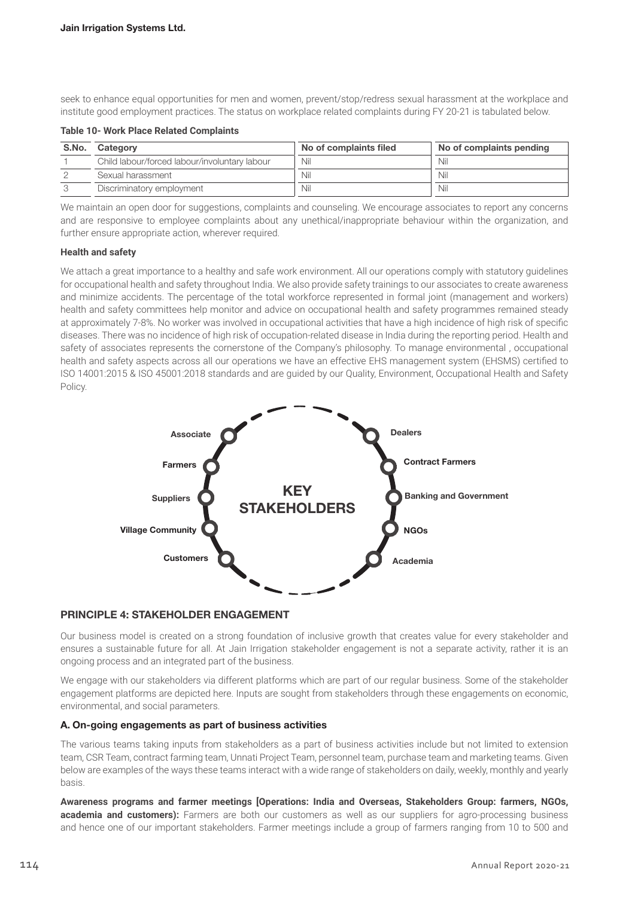seek to enhance equal opportunities for men and women, prevent/stop/redress sexual harassment at the workplace and institute good employment practices. The status on workplace related complaints during FY 20-21 is tabulated below.

**Table 10- Work Place Related Complaints**

| S.No. | Category                                      | No of complaints filed | No of complaints pending |
|-------|-----------------------------------------------|------------------------|--------------------------|
|       | Child labour/forced labour/involuntary labour | Nil                    | Nil                      |
|       | Sexual harassment                             | Nil                    | Nil                      |
|       | Discriminatory employment                     | Nil                    | Nil                      |

We maintain an open door for suggestions, complaints and counseling. We encourage associates to report any concerns and are responsive to employee complaints about any unethical/inappropriate behaviour within the organization, and further ensure appropriate action, wherever required.

#### **Health and safety**

We attach a great importance to a healthy and safe work environment. All our operations comply with statutory guidelines for occupational health and safety throughout India. We also provide safety trainings to our associates to create awareness and minimize accidents. The percentage of the total workforce represented in formal joint (management and workers) health and safety committees help monitor and advice on occupational health and safety programmes remained steady at approximately 7-8%. No worker was involved in occupational activities that have a high incidence of high risk of specific diseases. There was no incidence of high risk of occupation-related disease in India during the reporting period. Health and safety of associates represents the cornerstone of the Company's philosophy. To manage environmental , occupational health and safety aspects across all our operations we have an effective EHS management system (EHSMS) certified to ISO 14001:2015 & ISO 45001:2018 standards and are guided by our Quality, Environment, Occupational Health and Safety Policy.



# PRINCIPLE 4: STAKEHOLDER ENGAGEMENT

Our business model is created on a strong foundation of inclusive growth that creates value for every stakeholder and ensures a sustainable future for all. At Jain Irrigation stakeholder engagement is not a separate activity, rather it is an ongoing process and an integrated part of the business.

We engage with our stakeholders via different platforms which are part of our regular business. Some of the stakeholder engagement platforms are depicted here. Inputs are sought from stakeholders through these engagements on economic, environmental, and social parameters.

# A. On-going engagements as part of business activities

The various teams taking inputs from stakeholders as a part of business activities include but not limited to extension team, CSR Team, contract farming team, Unnati Project Team, personnel team, purchase team and marketing teams. Given below are examples of the ways these teams interact with a wide range of stakeholders on daily, weekly, monthly and yearly basis.

**Awareness programs and farmer meetings [Operations: India and Overseas, Stakeholders Group: farmers, NGOs, academia and customers):** Farmers are both our customers as well as our suppliers for agro-processing business and hence one of our important stakeholders. Farmer meetings include a group of farmers ranging from 10 to 500 and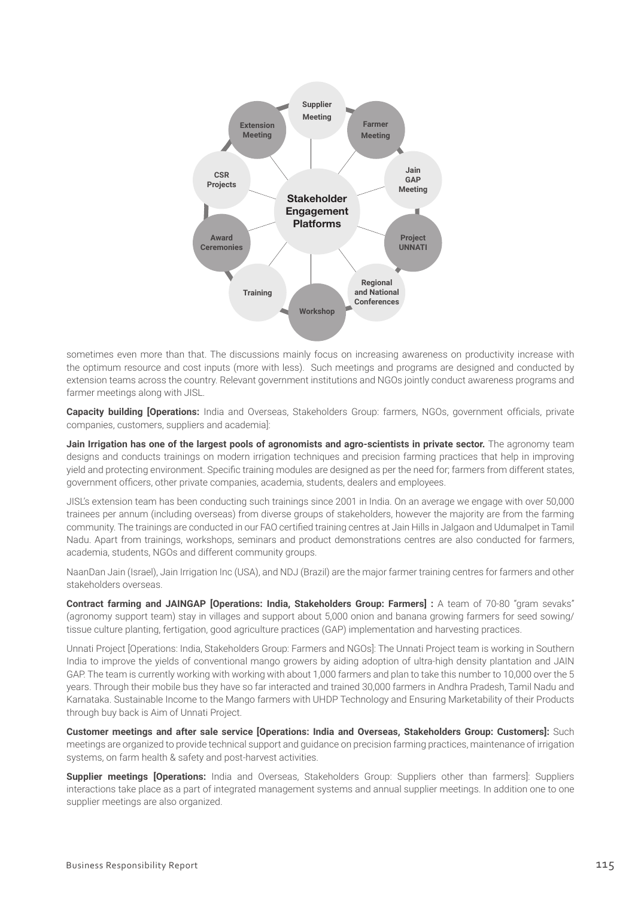

sometimes even more than that. The discussions mainly focus on increasing awareness on productivity increase with the optimum resource and cost inputs (more with less). Such meetings and programs are designed and conducted by extension teams across the country. Relevant government institutions and NGOs jointly conduct awareness programs and farmer meetings along with JISL.

**Capacity building [Operations:** India and Overseas, Stakeholders Group: farmers, NGOs, government officials, private companies, customers, suppliers and academia]:

**Jain Irrigation has one of the largest pools of agronomists and agro-scientists in private sector.** The agronomy team designs and conducts trainings on modern irrigation techniques and precision farming practices that help in improving yield and protecting environment. Specific training modules are designed as per the need for; farmers from different states, government officers, other private companies, academia, students, dealers and employees.

JISL's extension team has been conducting such trainings since 2001 in India. On an average we engage with over 50,000 trainees per annum (including overseas) from diverse groups of stakeholders, however the majority are from the farming community. The trainings are conducted in our FAO certified training centres at Jain Hills in Jalgaon and Udumalpet in Tamil Nadu. Apart from trainings, workshops, seminars and product demonstrations centres are also conducted for farmers, academia, students, NGOs and different community groups.

NaanDan Jain (Israel), Jain Irrigation Inc (USA), and NDJ (Brazil) are the major farmer training centres for farmers and other stakeholders overseas.

**Contract farming and JAINGAP [Operations: India, Stakeholders Group: Farmers] :** A team of 70-80 "gram sevaks" (agronomy support team) stay in villages and support about 5,000 onion and banana growing farmers for seed sowing/ tissue culture planting, fertigation, good agriculture practices (GAP) implementation and harvesting practices.

Unnati Project [Operations: India, Stakeholders Group: Farmers and NGOs]: The Unnati Project team is working in Southern India to improve the yields of conventional mango growers by aiding adoption of ultra-high density plantation and JAIN GAP. The team is currently working with working with about 1,000 farmers and plan to take this number to 10,000 over the 5 years. Through their mobile bus they have so far interacted and trained 30,000 farmers in Andhra Pradesh, Tamil Nadu and Karnataka. Sustainable Income to the Mango farmers with UHDP Technology and Ensuring Marketability of their Products through buy back is Aim of Unnati Project.

**Customer meetings and after sale service [Operations: India and Overseas, Stakeholders Group: Customers]:** Such meetings are organized to provide technical support and guidance on precision farming practices, maintenance of irrigation systems, on farm health & safety and post-harvest activities.

**Supplier meetings [Operations:** India and Overseas, Stakeholders Group: Suppliers other than farmers]: Suppliers interactions take place as a part of integrated management systems and annual supplier meetings. In addition one to one supplier meetings are also organized.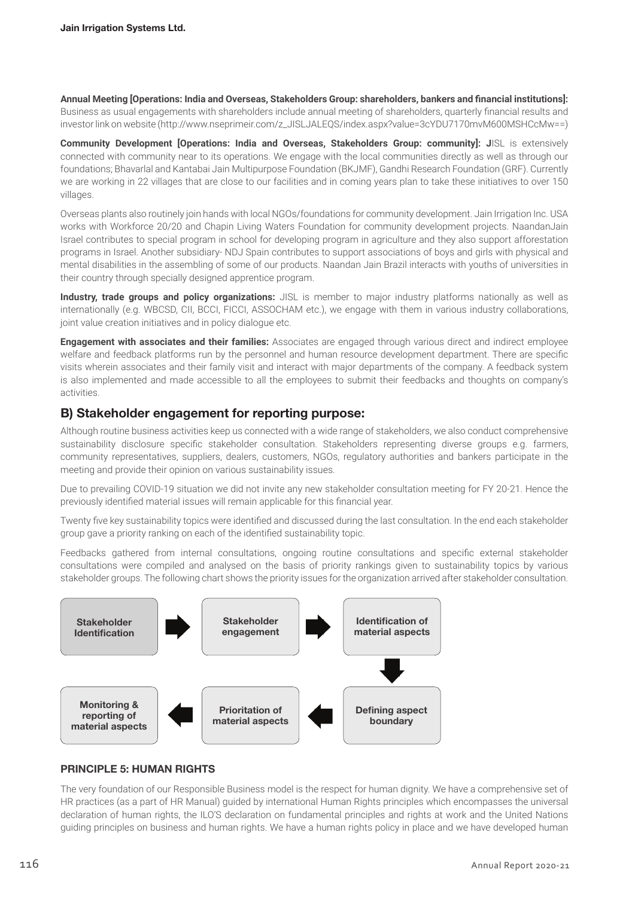**Annual Meeting [Operations: India and Overseas, Stakeholders Group: shareholders, bankers and financial institutions]:** Business as usual engagements with shareholders include annual meeting of shareholders, quarterly financial results and investor link on website (http://www.nseprimeir.com/z\_JISLJALEQS/index.aspx?value=3cYDU7170mvM600MSHCcMw==)

**Community Development [Operations: India and Overseas, Stakeholders Group: community]: J**ISL is extensively connected with community near to its operations. We engage with the local communities directly as well as through our foundations; Bhavarlal and Kantabai Jain Multipurpose Foundation (BKJMF), Gandhi Research Foundation (GRF). Currently we are working in 22 villages that are close to our facilities and in coming years plan to take these initiatives to over 150 villages.

Overseas plants also routinely join hands with local NGOs/foundations for community development. Jain Irrigation Inc. USA works with Workforce 20/20 and Chapin Living Waters Foundation for community development projects. NaandanJain Israel contributes to special program in school for developing program in agriculture and they also support afforestation programs in Israel. Another subsidiary- NDJ Spain contributes to support associations of boys and girls with physical and mental disabilities in the assembling of some of our products. Naandan Jain Brazil interacts with youths of universities in their country through specially designed apprentice program.

**Industry, trade groups and policy organizations:** JISL is member to major industry platforms nationally as well as internationally (e.g. WBCSD, CII, BCCI, FICCI, ASSOCHAM etc.), we engage with them in various industry collaborations, joint value creation initiatives and in policy dialogue etc.

**Engagement with associates and their families:** Associates are engaged through various direct and indirect employee welfare and feedback platforms run by the personnel and human resource development department. There are specific visits wherein associates and their family visit and interact with major departments of the company. A feedback system is also implemented and made accessible to all the employees to submit their feedbacks and thoughts on company's activities.

# B) Stakeholder engagement for reporting purpose:

Although routine business activities keep us connected with a wide range of stakeholders, we also conduct comprehensive sustainability disclosure specific stakeholder consultation. Stakeholders representing diverse groups e.g. farmers, community representatives, suppliers, dealers, customers, NGOs, regulatory authorities and bankers participate in the meeting and provide their opinion on various sustainability issues.

Due to prevailing COVID-19 situation we did not invite any new stakeholder consultation meeting for FY 20-21. Hence the previously identified material issues will remain applicable for this financial year.

Twenty five key sustainability topics were identified and discussed during the last consultation. In the end each stakeholder group gave a priority ranking on each of the identified sustainability topic.

Feedbacks gathered from internal consultations, ongoing routine consultations and specific external stakeholder consultations were compiled and analysed on the basis of priority rankings given to sustainability topics by various stakeholder groups. The following chart shows the priority issues for the organization arrived after stakeholder consultation.



# PRINCIPLE 5: HUMAN RIGHTS

The very foundation of our Responsible Business model is the respect for human dignity. We have a comprehensive set of HR practices (as a part of HR Manual) guided by international Human Rights principles which encompasses the universal declaration of human rights, the ILO'S declaration on fundamental principles and rights at work and the United Nations guiding principles on business and human rights. We have a human rights policy in place and we have developed human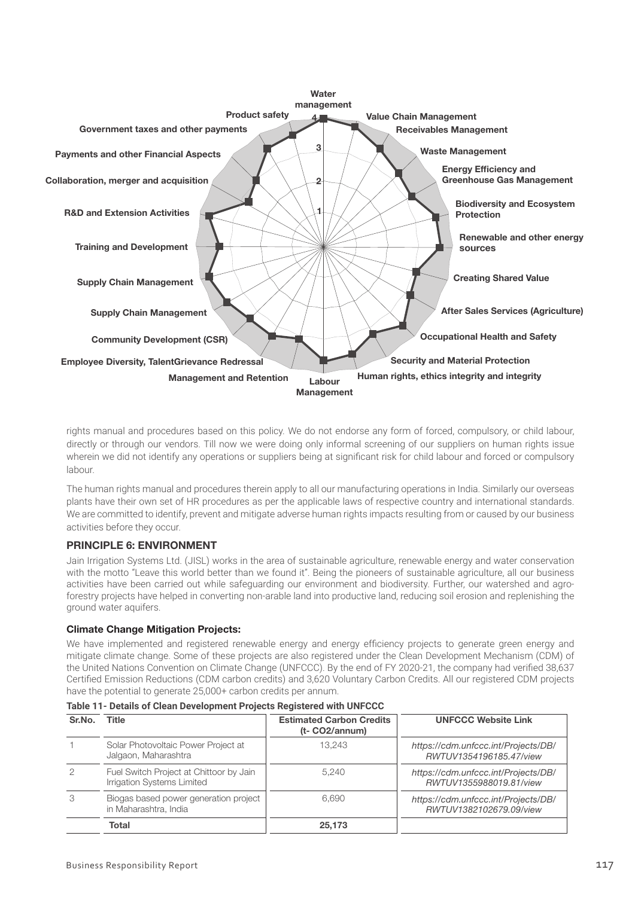

rights manual and procedures based on this policy. We do not endorse any form of forced, compulsory, or child labour, directly or through our vendors. Till now we were doing only informal screening of our suppliers on human rights issue wherein we did not identify any operations or suppliers being at significant risk for child labour and forced or compulsory labour.

The human rights manual and procedures therein apply to all our manufacturing operations in India. Similarly our overseas plants have their own set of HR procedures as per the applicable laws of respective country and international standards. We are committed to identify, prevent and mitigate adverse human rights impacts resulting from or caused by our business activities before they occur.

# PRINCIPLE 6: ENVIRONMENT

Jain Irrigation Systems Ltd. (JISL) works in the area of sustainable agriculture, renewable energy and water conservation with the motto "Leave this world better than we found it". Being the pioneers of sustainable agriculture, all our business activities have been carried out while safeguarding our environment and biodiversity. Further, our watershed and agroforestry projects have helped in converting non-arable land into productive land, reducing soil erosion and replenishing the ground water aquifers.

#### Climate Change Mitigation Projects:

We have implemented and registered renewable energy and energy efficiency projects to generate green energy and mitigate climate change. Some of these projects are also registered under the Clean Development Mechanism (CDM) of the United Nations Convention on Climate Change (UNFCCC). By the end of FY 2020-21, the company had verified 38,637 Certified Emission Reductions (CDM carbon credits) and 3,620 Voluntary Carbon Credits. All our registered CDM projects have the potential to generate 25,000+ carbon credits per annum.

| Sr.No. | Title                                                                 | <b>Estimated Carbon Credits</b><br>(t- CO2/annum) | <b>UNFCCC Website Link</b>                                     |
|--------|-----------------------------------------------------------------------|---------------------------------------------------|----------------------------------------------------------------|
|        | Solar Photovoltaic Power Project at<br>Jalgaon, Maharashtra           | 13.243                                            | https://cdm.unfccc.int/Projects/DB/<br>RWTUV1354196185.47/view |
| 2      | Fuel Switch Project at Chittoor by Jain<br>Irrigation Systems Limited | 5.240                                             | https://cdm.unfccc.int/Projects/DB/<br>RWTUV1355988019.81/view |
| 3      | Biogas based power generation project<br>in Maharashtra, India        | 6.690                                             | https://cdm.unfccc.int/Projects/DB/<br>RWTUV1382102679.09/view |
|        | Total                                                                 | 25,173                                            |                                                                |

**Table 11- Details of Clean Development Projects Registered with UNFCCC**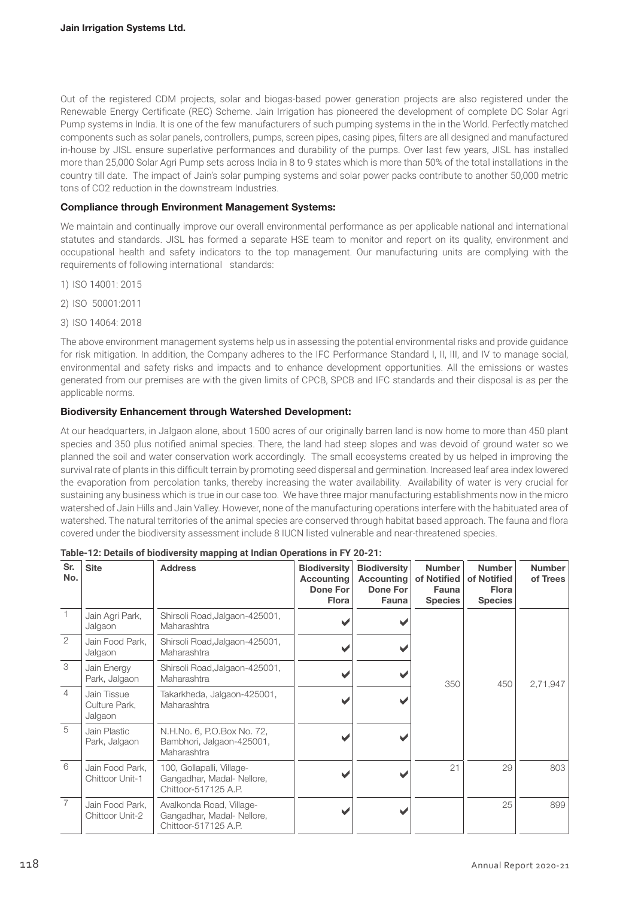Out of the registered CDM projects, solar and biogas-based power generation projects are also registered under the Renewable Energy Certificate (REC) Scheme. Jain Irrigation has pioneered the development of complete DC Solar Agri Pump systems in India. It is one of the few manufacturers of such pumping systems in the in the World. Perfectly matched components such as solar panels, controllers, pumps, screen pipes, casing pipes, filters are all designed and manufactured in-house by JISL ensure superlative performances and durability of the pumps. Over last few years, JISL has installed more than 25,000 Solar Agri Pump sets across India in 8 to 9 states which is more than 50% of the total installations in the country till date. The impact of Jain's solar pumping systems and solar power packs contribute to another 50,000 metric tons of CO2 reduction in the downstream Industries.

### Compliance through Environment Management Systems:

We maintain and continually improve our overall environmental performance as per applicable national and international statutes and standards. JISL has formed a separate HSE team to monitor and report on its quality, environment and occupational health and safety indicators to the top management. Our manufacturing units are complying with the requirements of following international standards:

- 1) ISO 14001: 2015
- 2) ISO 50001:2011
- 3) ISO 14064: 2018

The above environment management systems help us in assessing the potential environmental risks and provide guidance for risk mitigation. In addition, the Company adheres to the IFC Performance Standard I, II, III, and IV to manage social, environmental and safety risks and impacts and to enhance development opportunities. All the emissions or wastes generated from our premises are with the given limits of CPCB, SPCB and IFC standards and their disposal is as per the applicable norms.

### Biodiversity Enhancement through Watershed Development:

At our headquarters, in Jalgaon alone, about 1500 acres of our originally barren land is now home to more than 450 plant species and 350 plus notified animal species. There, the land had steep slopes and was devoid of ground water so we planned the soil and water conservation work accordingly. The small ecosystems created by us helped in improving the survival rate of plants in this difficult terrain by promoting seed dispersal and germination. Increased leaf area index lowered the evaporation from percolation tanks, thereby increasing the water availability. Availability of water is very crucial for sustaining any business which is true in our case too. We have three major manufacturing establishments now in the micro watershed of Jain Hills and Jain Valley. However, none of the manufacturing operations interfere with the habituated area of watershed. The natural territories of the animal species are conserved through habitat based approach. The fauna and flora covered under the biodiversity assessment include 8 IUCN listed vulnerable and near-threatened species.

| Sr.<br>No.     | <b>Site</b>                             | <b>Address</b>                                                                 | <b>Biodiversity</b><br>Accounting<br>Done For<br><b>Flora</b> | <b>Biodiversity</b><br>Accounting<br>Done For<br><b>Fauna</b> | <b>Number</b><br>of Notified<br><b>Fauna</b><br><b>Species</b> | <b>Number</b><br>of Notified<br><b>Flora</b><br><b>Species</b> | <b>Number</b><br>of Trees |
|----------------|-----------------------------------------|--------------------------------------------------------------------------------|---------------------------------------------------------------|---------------------------------------------------------------|----------------------------------------------------------------|----------------------------------------------------------------|---------------------------|
|                | Jain Agri Park,<br>Jalgaon              | Shirsoli Road, Jalgaon-425001,<br>Maharashtra                                  |                                                               |                                                               |                                                                |                                                                |                           |
| $\overline{2}$ | Jain Food Park,<br>Jalgaon              | Shirsoli Road, Jalgaon-425001,<br>Maharashtra                                  |                                                               |                                                               |                                                                |                                                                |                           |
| 3              | Jain Energy<br>Park, Jalgaon            | Shirsoli Road, Jalgaon-425001,<br>Maharashtra                                  |                                                               |                                                               | 350                                                            | 450                                                            | 2,71,947                  |
| $\overline{4}$ | Jain Tissue<br>Culture Park,<br>Jalgaon | Takarkheda, Jalgaon-425001,<br>Maharashtra                                     |                                                               |                                                               |                                                                |                                                                |                           |
| 5              | Jain Plastic<br>Park, Jalgaon           | N.H.No. 6, P.O.Box No. 72,<br>Bambhori, Jalgaon-425001,<br>Maharashtra         |                                                               |                                                               |                                                                |                                                                |                           |
| 6              | Jain Food Park,<br>Chittoor Unit-1      | 100, Gollapalli, Village-<br>Gangadhar, Madal-Nellore,<br>Chittoor-517125 A.P. |                                                               |                                                               | 21                                                             | 29                                                             | 803                       |
| $\overline{7}$ | Jain Food Park,<br>Chittoor Unit-2      | Avalkonda Road, Village-<br>Gangadhar, Madal- Nellore,<br>Chittoor-517125 A.P. |                                                               |                                                               |                                                                | 25                                                             | 899                       |

**Table-12: Details of biodiversity mapping at Indian Operations in FY 20-21:**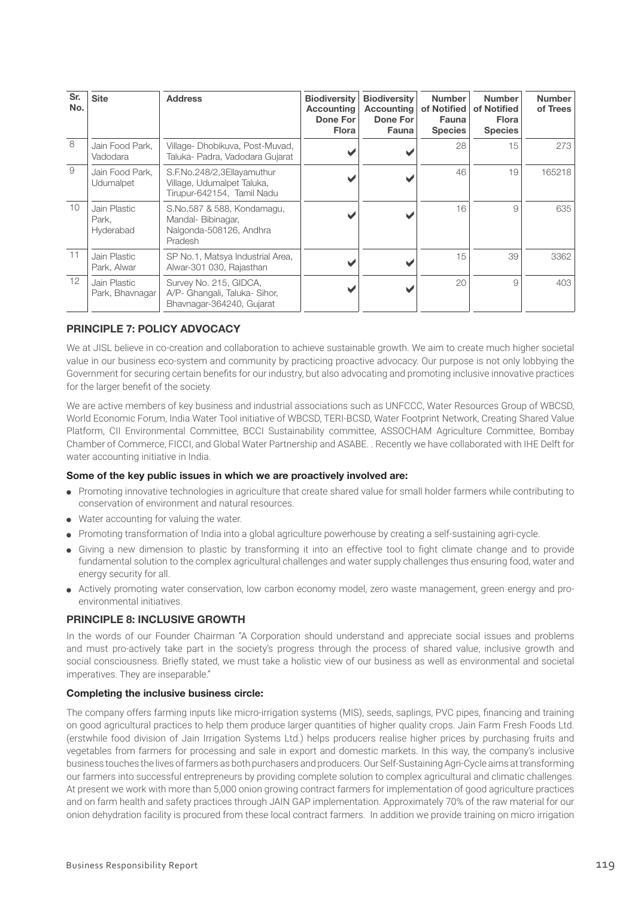| Sr.<br>No. | <b>Site</b>                        | <b>Address</b>                                                                         | <b>Biodiversity</b><br><b>Accounting</b><br>Done For<br><b>Flora</b> | <b>Biodiversity</b><br><b>Accounting</b><br>Done For<br><b>Fauna</b> | <b>Number</b><br>of Notified<br><b>Fauna</b><br><b>Species</b> | <b>Number</b><br>of Notified<br><b>Flora</b><br><b>Species</b> | <b>Number</b><br>of Trees |
|------------|------------------------------------|----------------------------------------------------------------------------------------|----------------------------------------------------------------------|----------------------------------------------------------------------|----------------------------------------------------------------|----------------------------------------------------------------|---------------------------|
| 8          | Jain Food Park,<br>Vadodara        | Village-Dhobikuva, Post-Muvad,<br>Taluka- Padra, Vadodara Gujarat                      |                                                                      |                                                                      | 28                                                             | 15                                                             | 273                       |
| 9          | Jain Food Park,<br>Udumalpet       | S.F.No.248/2,3Ellayamuthur<br>Village, Udumalpet Taluka,<br>Tirupur-642154, Tamil Nadu |                                                                      |                                                                      | 46                                                             | 19                                                             | 165218                    |
| 10         | Jain Plastic<br>Park.<br>Hyderabad | S.No.587 & 588, Kondamagu,<br>Mandal-Bibinagar,<br>Nalgonda-508126, Andhra<br>Pradesh  |                                                                      |                                                                      | 16                                                             | 9                                                              | 635                       |
| 11         | Jain Plastic<br>Park, Alwar        | SP No.1, Matsya Industrial Area,<br>Alwar-301 030, Rajasthan                           |                                                                      |                                                                      | 15                                                             | 39                                                             | 3362                      |
| 12         | Jain Plastic<br>Park, Bhavnagar    | Survey No. 215, GIDCA,<br>A/P- Ghangali, Taluka- Sihor,<br>Bhavnagar-364240, Gujarat   |                                                                      |                                                                      | 20                                                             | 9                                                              | 403                       |

# PRINCIPLE 7: POLICY ADVOCACY

We at JISL believe in co-creation and collaboration to achieve sustainable growth. We aim to create much higher societal value in our business eco-system and community by practicing proactive advocacy. Our purpose is not only lobbying the Government for securing certain benefits for our industry, but also advocating and promoting inclusive innovative practices for the larger benefit of the society.

We are active members of key business and industrial associations such as UNFCCC, Water Resources Group of WBCSD, World Economic Forum, India Water Tool initiative of WBCSD, TERI-BCSD, Water Footprint Network, Creating Shared Value Platform, CII Environmental Committee, BCCI Sustainability committee, ASSOCHAM Agriculture Committee, Bombay Chamber of Commerce, FICCI, and Global Water Partnership and ASABE. . Recently we have collaborated with IHE Delft for water accounting initiative in India.

#### Some of the key public issues in which we are proactively involved are:

- Promoting innovative technologies in agriculture that create shared value for small holder farmers while contributing to conservation of environment and natural resources.
- Water accounting for valuing the water.
- Promoting transformation of India into a global agriculture powerhouse by creating a self-sustaining agri-cycle.
- Giving a new dimension to plastic by transforming it into an effective tool to fight climate change and to provide fundamental solution to the complex agricultural challenges and water supply challenges thus ensuring food, water and energy security for all.
- Actively promoting water conservation, low carbon economy model, zero waste management, green energy and proenvironmental initiatives.

#### PRINCIPLE 8: INCLUSIVE GROWTH

In the words of our Founder Chairman "A Corporation should understand and appreciate social issues and problems and must pro-actively take part in the society's progress through the process of shared value, inclusive growth and social consciousness. Briefly stated, we must take a holistic view of our business as well as environmental and societal imperatives. They are inseparable."

#### Completing the inclusive business circle:

The company offers farming inputs like micro-irrigation systems (MIS), seeds, saplings, PVC pipes, financing and training on good agricultural practices to help them produce larger quantities of higher quality crops. Jain Farm Fresh Foods Ltd. (erstwhile food division of Jain Irrigation Systems Ltd.) helps producers realise higher prices by purchasing fruits and vegetables from farmers for processing and sale in export and domestic markets. In this way, the company's inclusive business touches the lives of farmers as both purchasers and producers. Our Self-Sustaining Agri-Cycle aims at transforming our farmers into successful entrepreneurs by providing complete solution to complex agricultural and climatic challenges. At present we work with more than 5,000 onion growing contract farmers for implementation of good agriculture practices and on farm health and safety practices through JAIN GAP implementation. Approximately 70% of the raw material for our onion dehydration facility is procured from these local contract farmers. In addition we provide training on micro irrigation